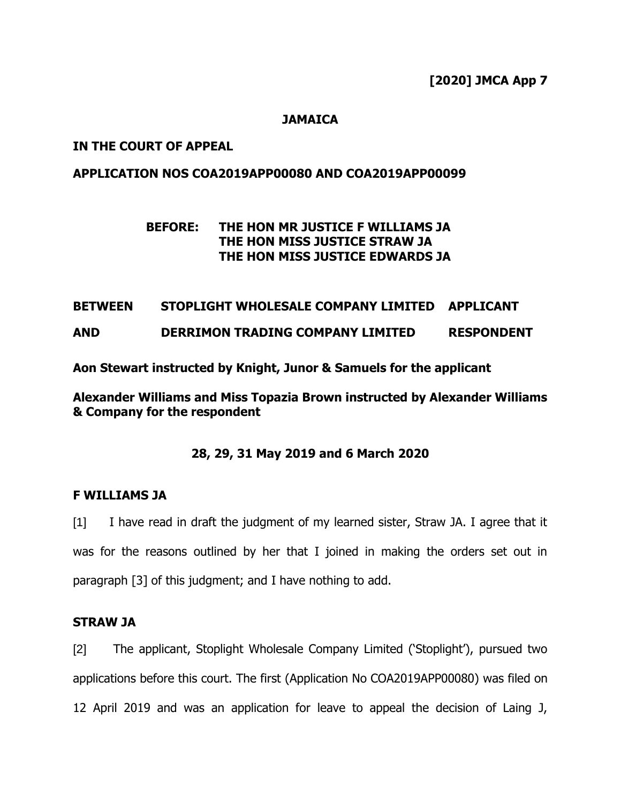**[2020] JMCA App 7**

## **JAMAICA**

## **IN THE COURT OF APPEAL**

## **APPLICATION NOS COA2019APP00080 AND COA2019APP00099**

## **BEFORE: THE HON MR JUSTICE F WILLIAMS JA THE HON MISS JUSTICE STRAW JA THE HON MISS JUSTICE EDWARDS JA**

### **BETWEEN STOPLIGHT WHOLESALE COMPANY LIMITED APPLICANT**

**AND DERRIMON TRADING COMPANY LIMITED RESPONDENT**

**Aon Stewart instructed by Knight, Junor & Samuels for the applicant** 

**Alexander Williams and Miss Topazia Brown instructed by Alexander Williams & Company for the respondent**

## **28, 29, 31 May 2019 and 6 March 2020**

#### **F WILLIAMS JA**

[1] I have read in draft the judgment of my learned sister, Straw JA. I agree that it was for the reasons outlined by her that I joined in making the orders set out in paragraph [3] of this judgment; and I have nothing to add.

#### **STRAW JA**

[2] The applicant, Stoplight Wholesale Company Limited ('Stoplight'), pursued two applications before this court. The first (Application No COA2019APP00080) was filed on 12 April 2019 and was an application for leave to appeal the decision of Laing J,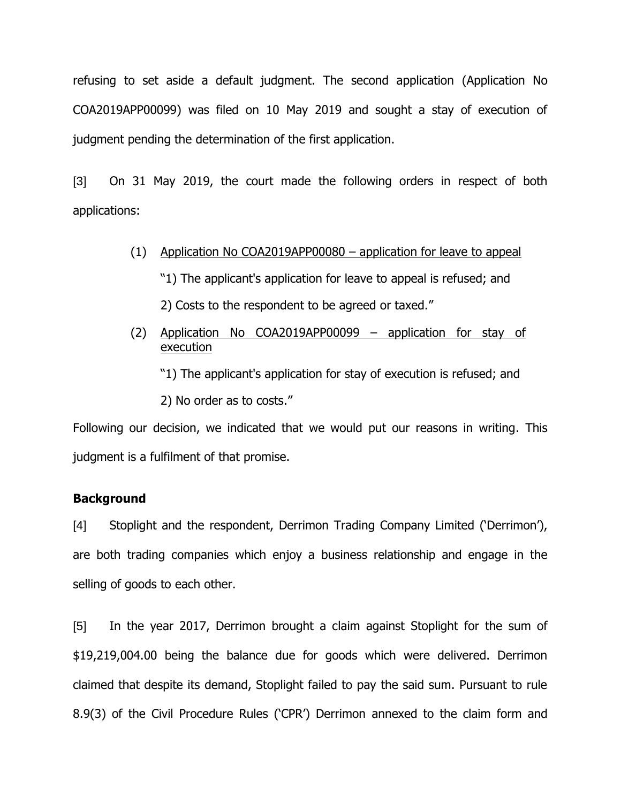refusing to set aside a default judgment. The second application (Application No COA2019APP00099) was filed on 10 May 2019 and sought a stay of execution of judgment pending the determination of the first application.

[3] On 31 May 2019, the court made the following orders in respect of both applications:

- (1) Application No COA2019APP00080 application for leave to appeal
	- "1) The applicant's application for leave to appeal is refused; and
	- 2) Costs to the respondent to be agreed or taxed."
- (2) Application No COA2019APP00099 application for stay of execution
	- "1) The applicant's application for stay of execution is refused; and
	- 2) No order as to costs."

Following our decision, we indicated that we would put our reasons in writing. This judgment is a fulfilment of that promise.

#### **Background**

[4] Stoplight and the respondent, Derrimon Trading Company Limited ('Derrimon'), are both trading companies which enjoy a business relationship and engage in the selling of goods to each other.

[5] In the year 2017, Derrimon brought a claim against Stoplight for the sum of \$19,219,004.00 being the balance due for goods which were delivered. Derrimon claimed that despite its demand, Stoplight failed to pay the said sum. Pursuant to rule 8.9(3) of the Civil Procedure Rules ('CPR') Derrimon annexed to the claim form and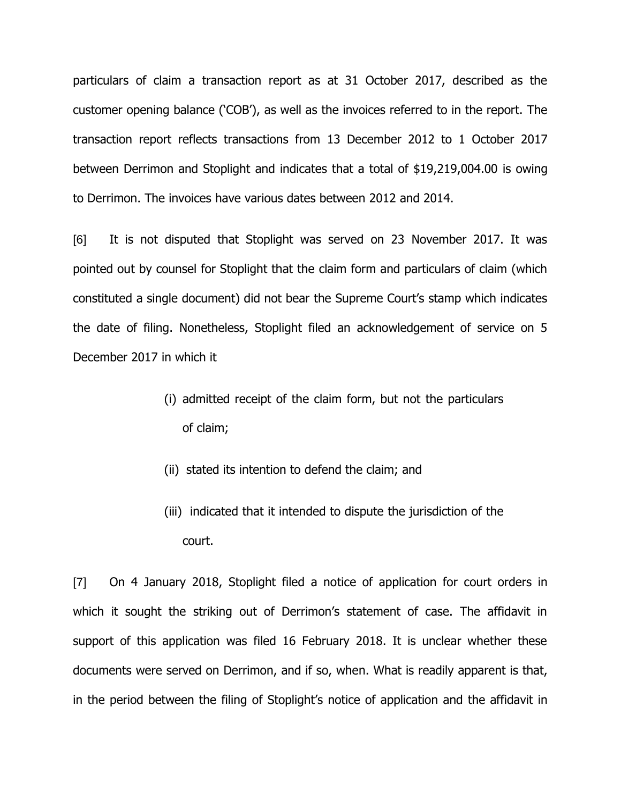particulars of claim a transaction report as at 31 October 2017, described as the customer opening balance ('COB'), as well as the invoices referred to in the report. The transaction report reflects transactions from 13 December 2012 to 1 October 2017 between Derrimon and Stoplight and indicates that a total of \$19,219,004.00 is owing to Derrimon. The invoices have various dates between 2012 and 2014.

[6] It is not disputed that Stoplight was served on 23 November 2017. It was pointed out by counsel for Stoplight that the claim form and particulars of claim (which constituted a single document) did not bear the Supreme Court's stamp which indicates the date of filing. Nonetheless, Stoplight filed an acknowledgement of service on 5 December 2017 in which it

- (i) admitted receipt of the claim form, but not the particulars of claim;
- (ii) stated its intention to defend the claim; and
- (iii) indicated that it intended to dispute the jurisdiction of the court.

[7] On 4 January 2018, Stoplight filed a notice of application for court orders in which it sought the striking out of Derrimon's statement of case. The affidavit in support of this application was filed 16 February 2018. It is unclear whether these documents were served on Derrimon, and if so, when. What is readily apparent is that, in the period between the filing of Stoplight's notice of application and the affidavit in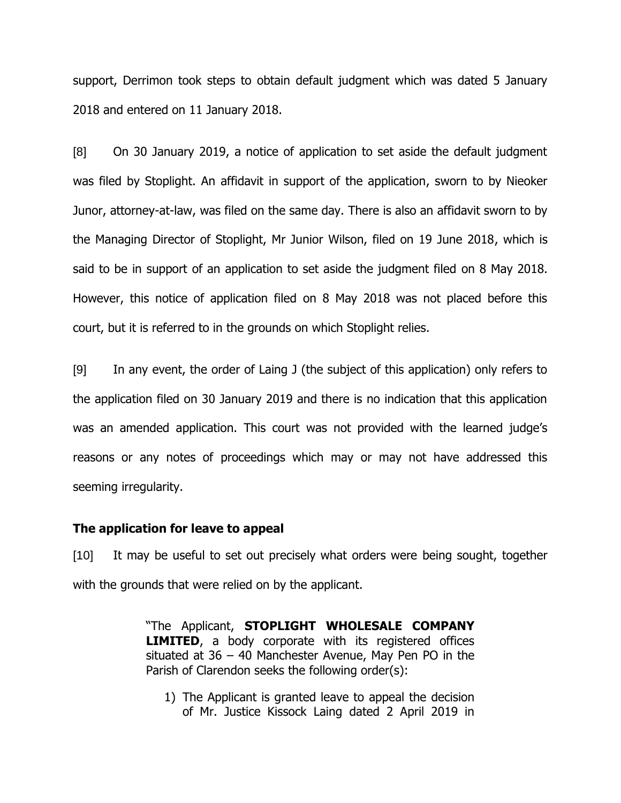support, Derrimon took steps to obtain default judgment which was dated 5 January 2018 and entered on 11 January 2018.

[8] On 30 January 2019, a notice of application to set aside the default judgment was filed by Stoplight. An affidavit in support of the application, sworn to by Nieoker Junor, attorney-at-law, was filed on the same day. There is also an affidavit sworn to by the Managing Director of Stoplight, Mr Junior Wilson, filed on 19 June 2018, which is said to be in support of an application to set aside the judgment filed on 8 May 2018. However, this notice of application filed on 8 May 2018 was not placed before this court, but it is referred to in the grounds on which Stoplight relies.

[9] In any event, the order of Laing J (the subject of this application) only refers to the application filed on 30 January 2019 and there is no indication that this application was an amended application. This court was not provided with the learned judge's reasons or any notes of proceedings which may or may not have addressed this seeming irregularity.

#### **The application for leave to appeal**

[10] It may be useful to set out precisely what orders were being sought, together with the grounds that were relied on by the applicant.

> "The Applicant, **STOPLIGHT WHOLESALE COMPANY LIMITED**, a body corporate with its registered offices situated at 36 – 40 Manchester Avenue, May Pen PO in the Parish of Clarendon seeks the following order(s):

1) The Applicant is granted leave to appeal the decision of Mr. Justice Kissock Laing dated 2 April 2019 in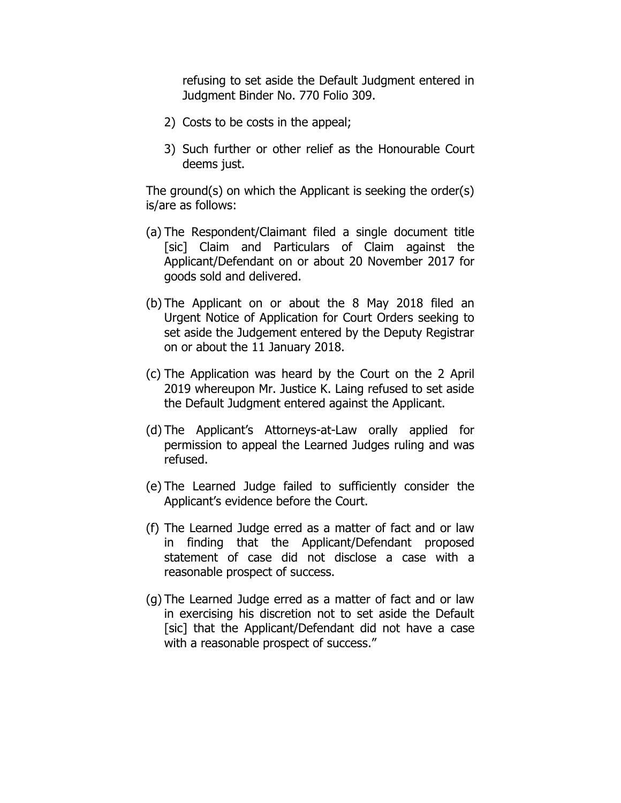refusing to set aside the Default Judgment entered in Judgment Binder No. 770 Folio 309.

- 2) Costs to be costs in the appeal;
- 3) Such further or other relief as the Honourable Court deems just.

The ground(s) on which the Applicant is seeking the order(s) is/are as follows:

- (a) The Respondent/Claimant filed a single document title [sic] Claim and Particulars of Claim against the Applicant/Defendant on or about 20 November 2017 for goods sold and delivered.
- (b) The Applicant on or about the 8 May 2018 filed an Urgent Notice of Application for Court Orders seeking to set aside the Judgement entered by the Deputy Registrar on or about the 11 January 2018.
- (c) The Application was heard by the Court on the 2 April 2019 whereupon Mr. Justice K. Laing refused to set aside the Default Judgment entered against the Applicant.
- (d) The Applicant's Attorneys-at-Law orally applied for permission to appeal the Learned Judges ruling and was refused.
- (e) The Learned Judge failed to sufficiently consider the Applicant's evidence before the Court.
- (f) The Learned Judge erred as a matter of fact and or law in finding that the Applicant/Defendant proposed statement of case did not disclose a case with a reasonable prospect of success.
- (g) The Learned Judge erred as a matter of fact and or law in exercising his discretion not to set aside the Default [sic] that the Applicant/Defendant did not have a case with a reasonable prospect of success."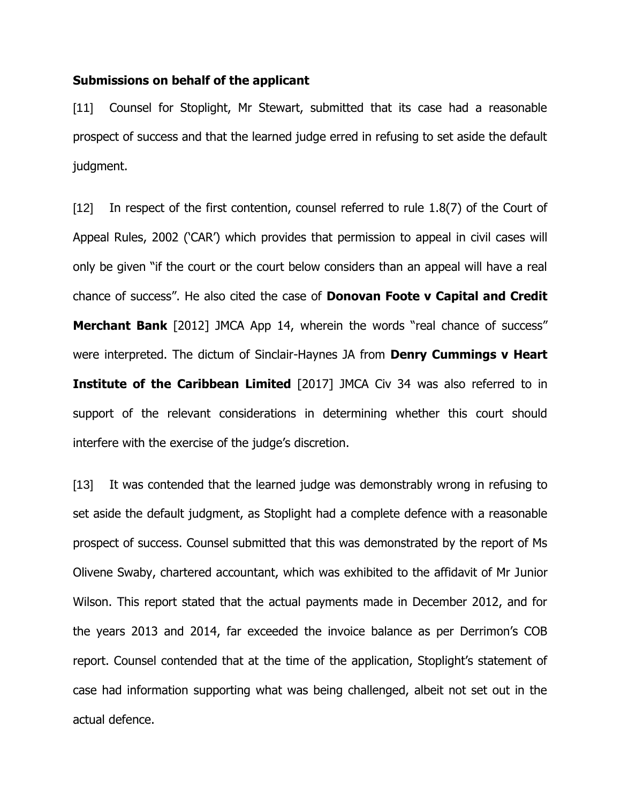#### **Submissions on behalf of the applicant**

[11] Counsel for Stoplight, Mr Stewart, submitted that its case had a reasonable prospect of success and that the learned judge erred in refusing to set aside the default judgment.

[12] In respect of the first contention, counsel referred to rule 1.8(7) of the Court of Appeal Rules, 2002 ('CAR') which provides that permission to appeal in civil cases will only be given "if the court or the court below considers than an appeal will have a real chance of success". He also cited the case of **Donovan Foote v Capital and Credit Merchant Bank** [2012] JMCA App 14, wherein the words "real chance of success" were interpreted. The dictum of Sinclair-Haynes JA from **Denry Cummings v Heart Institute of the Caribbean Limited** [2017] JMCA Civ 34 was also referred to in support of the relevant considerations in determining whether this court should interfere with the exercise of the judge's discretion.

[13] It was contended that the learned judge was demonstrably wrong in refusing to set aside the default judgment, as Stoplight had a complete defence with a reasonable prospect of success. Counsel submitted that this was demonstrated by the report of Ms Olivene Swaby, chartered accountant, which was exhibited to the affidavit of Mr Junior Wilson. This report stated that the actual payments made in December 2012, and for the years 2013 and 2014, far exceeded the invoice balance as per Derrimon's COB report. Counsel contended that at the time of the application, Stoplight's statement of case had information supporting what was being challenged, albeit not set out in the actual defence.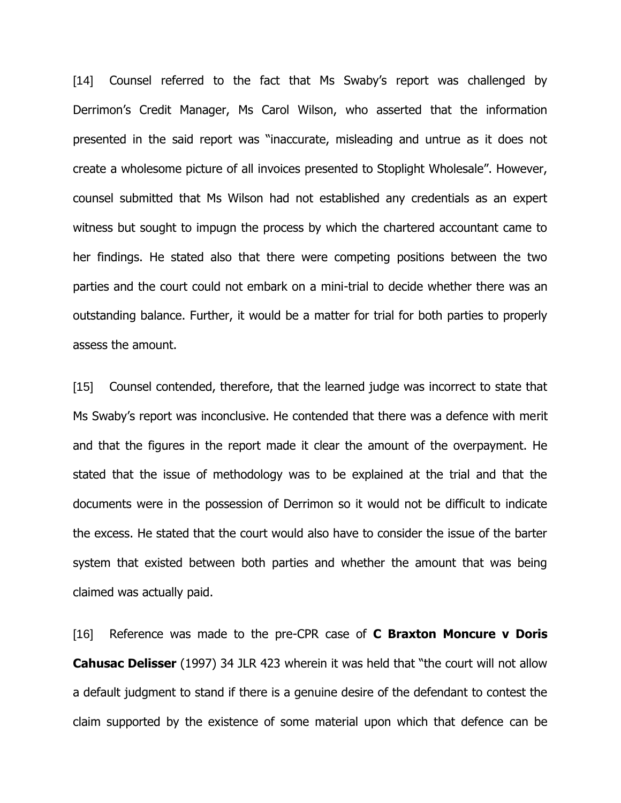[14] Counsel referred to the fact that Ms Swaby's report was challenged by Derrimon's Credit Manager, Ms Carol Wilson, who asserted that the information presented in the said report was "inaccurate, misleading and untrue as it does not create a wholesome picture of all invoices presented to Stoplight Wholesale". However, counsel submitted that Ms Wilson had not established any credentials as an expert witness but sought to impugn the process by which the chartered accountant came to her findings. He stated also that there were competing positions between the two parties and the court could not embark on a mini-trial to decide whether there was an outstanding balance. Further, it would be a matter for trial for both parties to properly assess the amount.

[15] Counsel contended, therefore, that the learned judge was incorrect to state that Ms Swaby's report was inconclusive. He contended that there was a defence with merit and that the figures in the report made it clear the amount of the overpayment. He stated that the issue of methodology was to be explained at the trial and that the documents were in the possession of Derrimon so it would not be difficult to indicate the excess. He stated that the court would also have to consider the issue of the barter system that existed between both parties and whether the amount that was being claimed was actually paid.

[16] Reference was made to the pre-CPR case of **C Braxton Moncure v Doris Cahusac Delisser** (1997) 34 JLR 423 wherein it was held that "the court will not allow a default judgment to stand if there is a genuine desire of the defendant to contest the claim supported by the existence of some material upon which that defence can be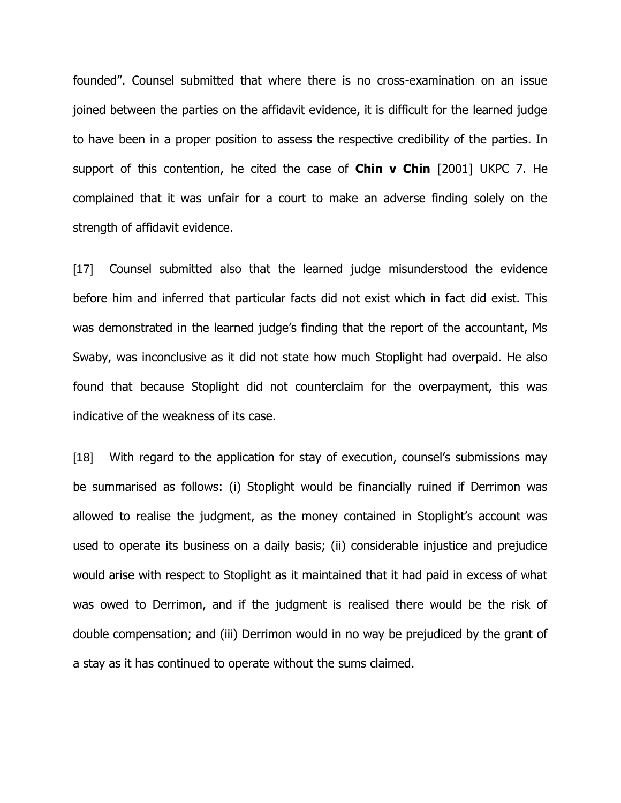founded". Counsel submitted that where there is no cross-examination on an issue joined between the parties on the affidavit evidence, it is difficult for the learned judge to have been in a proper position to assess the respective credibility of the parties. In support of this contention, he cited the case of **Chin v Chin** [2001] UKPC 7. He complained that it was unfair for a court to make an adverse finding solely on the strength of affidavit evidence.

[17] Counsel submitted also that the learned judge misunderstood the evidence before him and inferred that particular facts did not exist which in fact did exist. This was demonstrated in the learned judge's finding that the report of the accountant, Ms Swaby, was inconclusive as it did not state how much Stoplight had overpaid. He also found that because Stoplight did not counterclaim for the overpayment, this was indicative of the weakness of its case.

[18] With regard to the application for stay of execution, counsel's submissions may be summarised as follows: (i) Stoplight would be financially ruined if Derrimon was allowed to realise the judgment, as the money contained in Stoplight's account was used to operate its business on a daily basis; (ii) considerable injustice and prejudice would arise with respect to Stoplight as it maintained that it had paid in excess of what was owed to Derrimon, and if the judgment is realised there would be the risk of double compensation; and (iii) Derrimon would in no way be prejudiced by the grant of a stay as it has continued to operate without the sums claimed.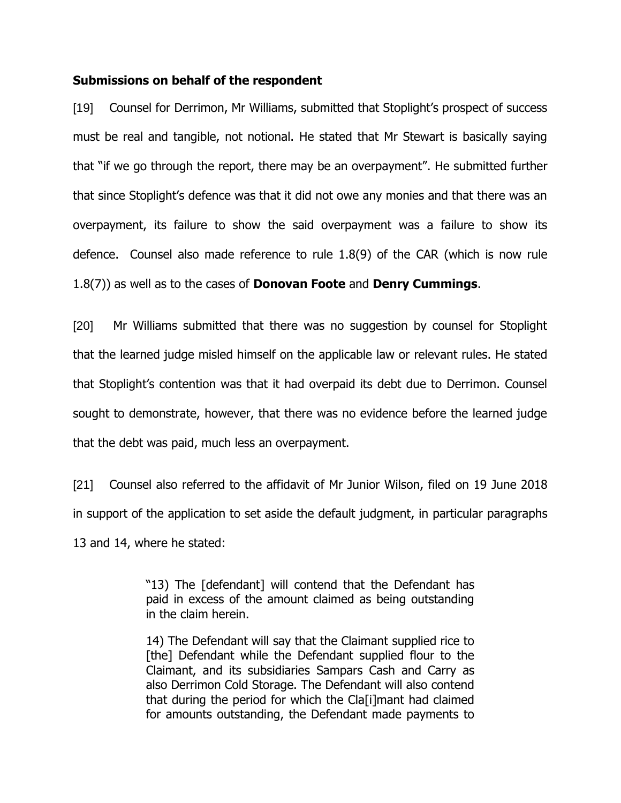#### **Submissions on behalf of the respondent**

[19] Counsel for Derrimon, Mr Williams, submitted that Stoplight's prospect of success must be real and tangible, not notional. He stated that Mr Stewart is basically saying that "if we go through the report, there may be an overpayment". He submitted further that since Stoplight's defence was that it did not owe any monies and that there was an overpayment, its failure to show the said overpayment was a failure to show its defence. Counsel also made reference to rule 1.8(9) of the CAR (which is now rule 1.8(7)) as well as to the cases of **Donovan Foote** and **Denry Cummings**.

[20] Mr Williams submitted that there was no suggestion by counsel for Stoplight that the learned judge misled himself on the applicable law or relevant rules. He stated that Stoplight's contention was that it had overpaid its debt due to Derrimon. Counsel sought to demonstrate, however, that there was no evidence before the learned judge that the debt was paid, much less an overpayment.

[21] Counsel also referred to the affidavit of Mr Junior Wilson, filed on 19 June 2018 in support of the application to set aside the default judgment, in particular paragraphs 13 and 14, where he stated:

> "13) The [defendant] will contend that the Defendant has paid in excess of the amount claimed as being outstanding in the claim herein.

> 14) The Defendant will say that the Claimant supplied rice to [the] Defendant while the Defendant supplied flour to the Claimant, and its subsidiaries Sampars Cash and Carry as also Derrimon Cold Storage. The Defendant will also contend that during the period for which the Cla[i]mant had claimed for amounts outstanding, the Defendant made payments to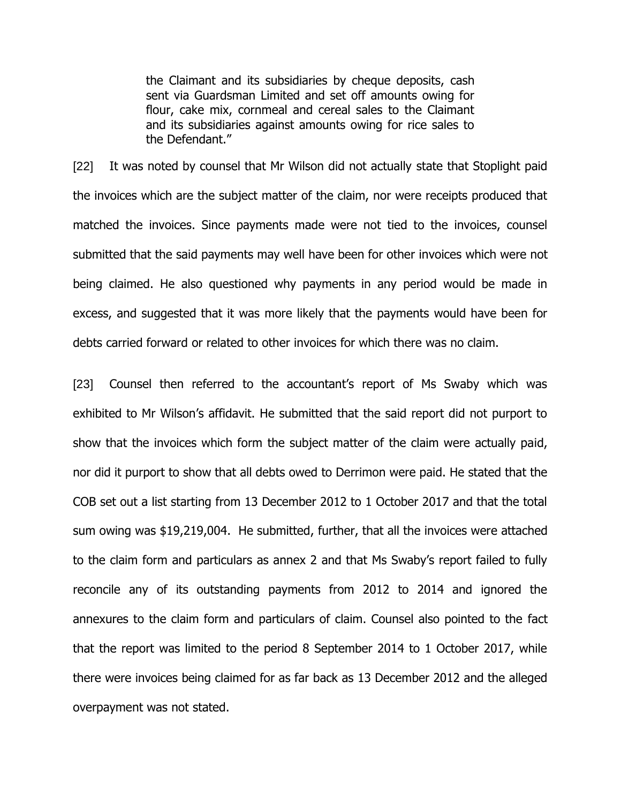the Claimant and its subsidiaries by cheque deposits, cash sent via Guardsman Limited and set off amounts owing for flour, cake mix, cornmeal and cereal sales to the Claimant and its subsidiaries against amounts owing for rice sales to the Defendant."

[22] It was noted by counsel that Mr Wilson did not actually state that Stoplight paid the invoices which are the subject matter of the claim, nor were receipts produced that matched the invoices. Since payments made were not tied to the invoices, counsel submitted that the said payments may well have been for other invoices which were not being claimed. He also questioned why payments in any period would be made in excess, and suggested that it was more likely that the payments would have been for debts carried forward or related to other invoices for which there was no claim.

[23] Counsel then referred to the accountant's report of Ms Swaby which was exhibited to Mr Wilson's affidavit. He submitted that the said report did not purport to show that the invoices which form the subject matter of the claim were actually paid, nor did it purport to show that all debts owed to Derrimon were paid. He stated that the COB set out a list starting from 13 December 2012 to 1 October 2017 and that the total sum owing was \$19,219,004. He submitted, further, that all the invoices were attached to the claim form and particulars as annex 2 and that Ms Swaby's report failed to fully reconcile any of its outstanding payments from 2012 to 2014 and ignored the annexures to the claim form and particulars of claim. Counsel also pointed to the fact that the report was limited to the period 8 September 2014 to 1 October 2017, while there were invoices being claimed for as far back as 13 December 2012 and the alleged overpayment was not stated.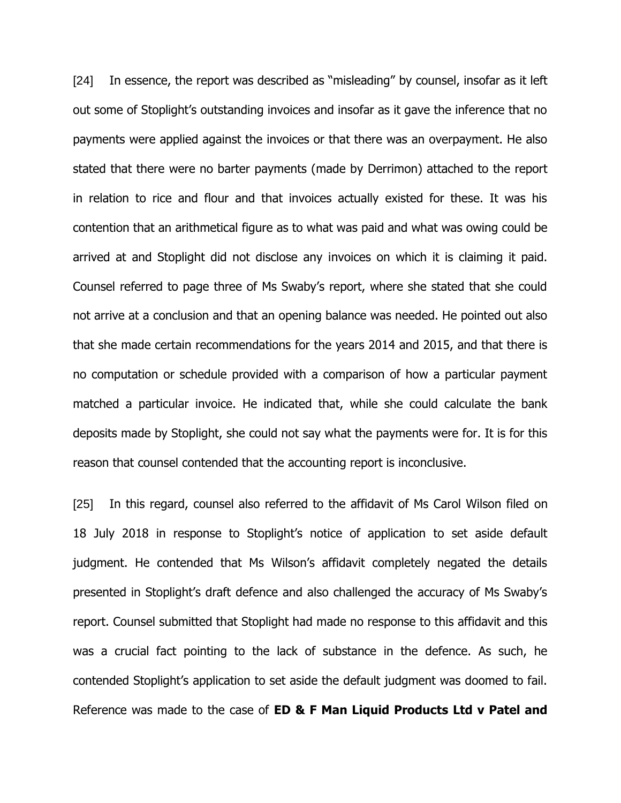[24] In essence, the report was described as "misleading" by counsel, insofar as it left out some of Stoplight's outstanding invoices and insofar as it gave the inference that no payments were applied against the invoices or that there was an overpayment. He also stated that there were no barter payments (made by Derrimon) attached to the report in relation to rice and flour and that invoices actually existed for these. It was his contention that an arithmetical figure as to what was paid and what was owing could be arrived at and Stoplight did not disclose any invoices on which it is claiming it paid. Counsel referred to page three of Ms Swaby's report, where she stated that she could not arrive at a conclusion and that an opening balance was needed. He pointed out also that she made certain recommendations for the years 2014 and 2015, and that there is no computation or schedule provided with a comparison of how a particular payment matched a particular invoice. He indicated that, while she could calculate the bank deposits made by Stoplight, she could not say what the payments were for. It is for this reason that counsel contended that the accounting report is inconclusive.

[25] In this regard, counsel also referred to the affidavit of Ms Carol Wilson filed on 18 July 2018 in response to Stoplight's notice of application to set aside default judgment. He contended that Ms Wilson's affidavit completely negated the details presented in Stoplight's draft defence and also challenged the accuracy of Ms Swaby's report. Counsel submitted that Stoplight had made no response to this affidavit and this was a crucial fact pointing to the lack of substance in the defence. As such, he contended Stoplight's application to set aside the default judgment was doomed to fail. Reference was made to the case of **ED & F Man Liquid Products Ltd v Patel and**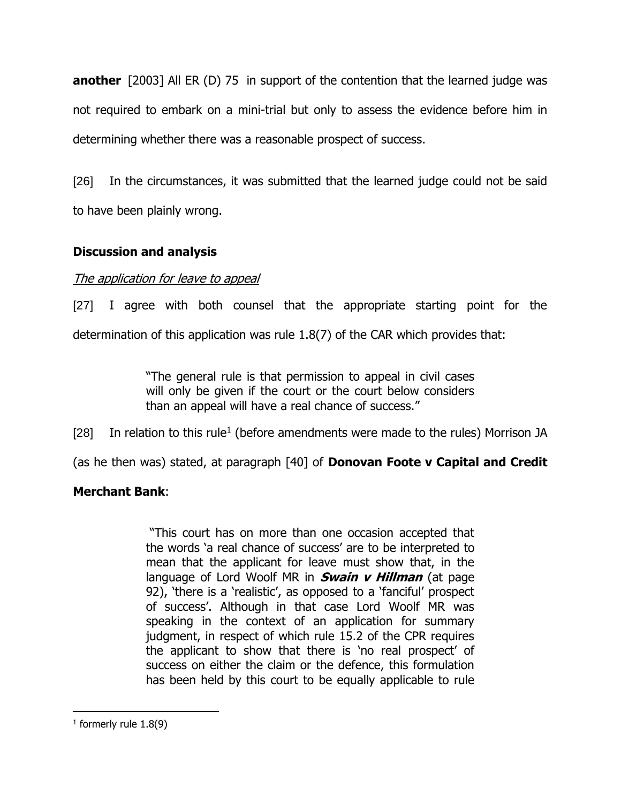**another** [2003] All ER (D) 75 in support of the contention that the learned judge was not required to embark on a mini-trial but only to assess the evidence before him in determining whether there was a reasonable prospect of success.

[26] In the circumstances, it was submitted that the learned judge could not be said to have been plainly wrong.

# **Discussion and analysis**

## The application for leave to appeal

[27] I agree with both counsel that the appropriate starting point for the determination of this application was rule 1.8(7) of the CAR which provides that:

> "The general rule is that permission to appeal in civil cases will only be given if the court or the court below considers than an appeal will have a real chance of success."

[28] In relation to this rule<sup>1</sup> (before amendments were made to the rules) Morrison JA

(as he then was) stated, at paragraph [40] of **Donovan Foote v Capital and Credit** 

## **Merchant Bank**:

"This court has on more than one occasion accepted that the words 'a real chance of success' are to be interpreted to mean that the applicant for leave must show that, in the language of Lord Woolf MR in **Swain v Hillman** (at page 92), 'there is a 'realistic', as opposed to a 'fanciful' prospect of success'. Although in that case Lord Woolf MR was speaking in the context of an application for summary judgment, in respect of which rule 15.2 of the CPR requires the applicant to show that there is 'no real prospect' of success on either the claim or the defence, this formulation has been held by this court to be equally applicable to rule

 $\overline{a}$ 

 $<sup>1</sup>$  formerly rule 1.8(9)</sup>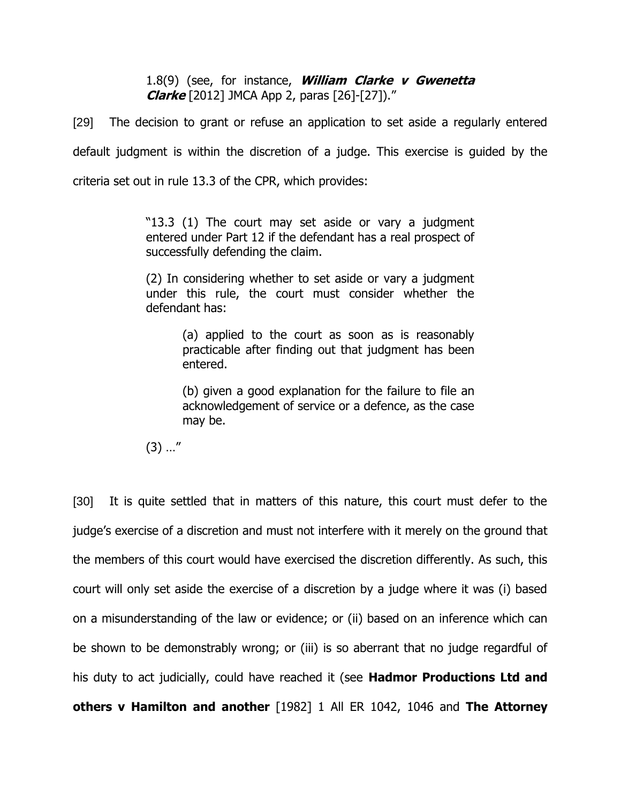## 1.8(9) (see, for instance, **William Clarke v Gwenetta Clarke** [2012] JMCA App 2, paras [26]-[27])."

[29] The decision to grant or refuse an application to set aside a regularly entered default judgment is within the discretion of a judge. This exercise is guided by the criteria set out in rule 13.3 of the CPR, which provides:

> "13.3 (1) The court may set aside or vary a judgment entered under Part 12 if the defendant has a real prospect of successfully defending the claim.

> (2) In considering whether to set aside or vary a judgment under this rule, the court must consider whether the defendant has:

> > (a) applied to the court as soon as is reasonably practicable after finding out that judgment has been entered.

> > (b) given a good explanation for the failure to file an acknowledgement of service or a defence, as the case may be.

 $(3)$  ..."

[30] It is quite settled that in matters of this nature, this court must defer to the judge's exercise of a discretion and must not interfere with it merely on the ground that the members of this court would have exercised the discretion differently. As such, this court will only set aside the exercise of a discretion by a judge where it was (i) based on a misunderstanding of the law or evidence; or (ii) based on an inference which can be shown to be demonstrably wrong; or (iii) is so aberrant that no judge regardful of his duty to act judicially, could have reached it (see **Hadmor Productions Ltd and others v Hamilton and another** [1982] 1 All ER 1042, 1046 and **The Attorney**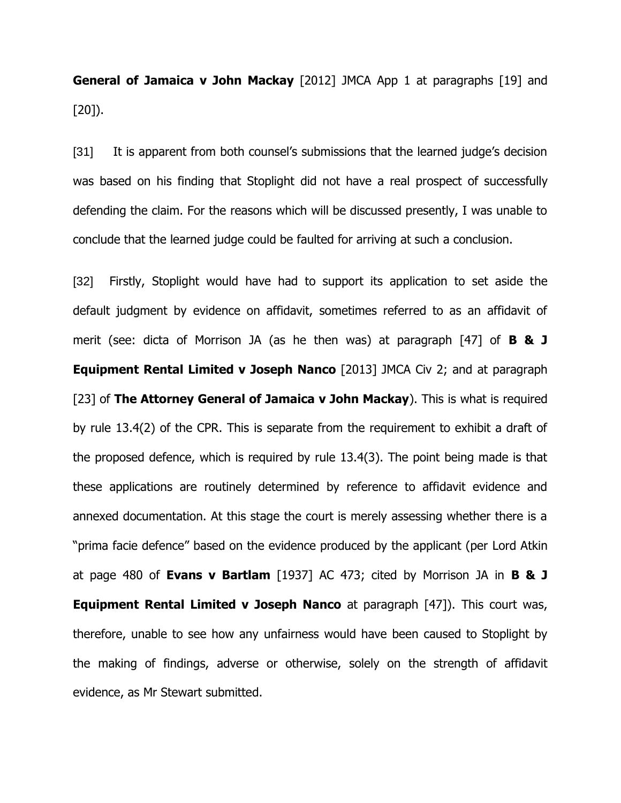**General of Jamaica v John Mackay** [2012] JMCA App 1 at paragraphs [19] and [20]).

[31] It is apparent from both counsel's submissions that the learned judge's decision was based on his finding that Stoplight did not have a real prospect of successfully defending the claim. For the reasons which will be discussed presently, I was unable to conclude that the learned judge could be faulted for arriving at such a conclusion.

[32] Firstly, Stoplight would have had to support its application to set aside the default judgment by evidence on affidavit, sometimes referred to as an affidavit of merit (see: dicta of Morrison JA (as he then was) at paragraph [47] of **B & J Equipment Rental Limited v Joseph Nanco** [2013] JMCA Civ 2; and at paragraph [23] of **The Attorney General of Jamaica v John Mackay**). This is what is required by rule 13.4(2) of the CPR. This is separate from the requirement to exhibit a draft of the proposed defence, which is required by rule 13.4(3). The point being made is that these applications are routinely determined by reference to affidavit evidence and annexed documentation. At this stage the court is merely assessing whether there is a "prima facie defence" based on the evidence produced by the applicant (per Lord Atkin at page 480 of **Evans v Bartlam** [1937] AC 473; cited by Morrison JA in **B & J Equipment Rental Limited v Joseph Nanco** at paragraph [47]). This court was, therefore, unable to see how any unfairness would have been caused to Stoplight by the making of findings, adverse or otherwise, solely on the strength of affidavit evidence, as Mr Stewart submitted.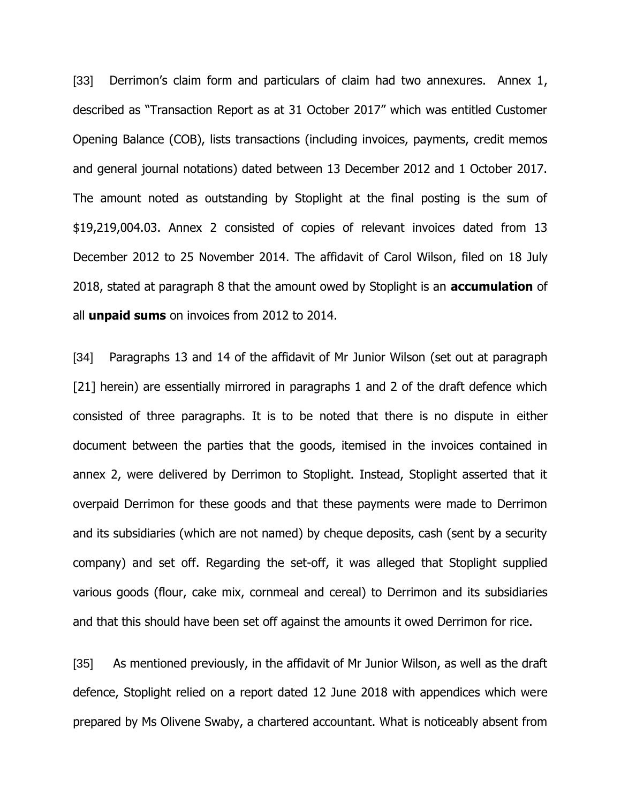[33] Derrimon's claim form and particulars of claim had two annexures. Annex 1, described as "Transaction Report as at 31 October 2017" which was entitled Customer Opening Balance (COB), lists transactions (including invoices, payments, credit memos and general journal notations) dated between 13 December 2012 and 1 October 2017. The amount noted as outstanding by Stoplight at the final posting is the sum of \$19,219,004.03. Annex 2 consisted of copies of relevant invoices dated from 13 December 2012 to 25 November 2014. The affidavit of Carol Wilson, filed on 18 July 2018, stated at paragraph 8 that the amount owed by Stoplight is an **accumulation** of all **unpaid sums** on invoices from 2012 to 2014.

[34] Paragraphs 13 and 14 of the affidavit of Mr Junior Wilson (set out at paragraph [21] herein) are essentially mirrored in paragraphs 1 and 2 of the draft defence which consisted of three paragraphs. It is to be noted that there is no dispute in either document between the parties that the goods, itemised in the invoices contained in annex 2, were delivered by Derrimon to Stoplight. Instead, Stoplight asserted that it overpaid Derrimon for these goods and that these payments were made to Derrimon and its subsidiaries (which are not named) by cheque deposits, cash (sent by a security company) and set off. Regarding the set-off, it was alleged that Stoplight supplied various goods (flour, cake mix, cornmeal and cereal) to Derrimon and its subsidiaries and that this should have been set off against the amounts it owed Derrimon for rice.

[35] As mentioned previously, in the affidavit of Mr Junior Wilson, as well as the draft defence, Stoplight relied on a report dated 12 June 2018 with appendices which were prepared by Ms Olivene Swaby, a chartered accountant. What is noticeably absent from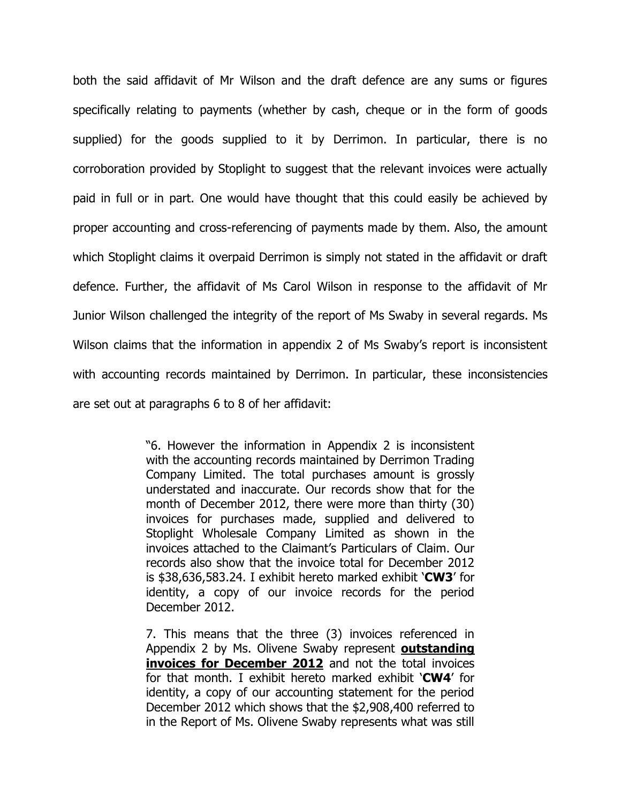both the said affidavit of Mr Wilson and the draft defence are any sums or figures specifically relating to payments (whether by cash, cheque or in the form of goods supplied) for the goods supplied to it by Derrimon. In particular, there is no corroboration provided by Stoplight to suggest that the relevant invoices were actually paid in full or in part. One would have thought that this could easily be achieved by proper accounting and cross-referencing of payments made by them. Also, the amount which Stoplight claims it overpaid Derrimon is simply not stated in the affidavit or draft defence. Further, the affidavit of Ms Carol Wilson in response to the affidavit of Mr Junior Wilson challenged the integrity of the report of Ms Swaby in several regards. Ms Wilson claims that the information in appendix 2 of Ms Swaby's report is inconsistent with accounting records maintained by Derrimon. In particular, these inconsistencies are set out at paragraphs 6 to 8 of her affidavit:

> "6. However the information in Appendix 2 is inconsistent with the accounting records maintained by Derrimon Trading Company Limited. The total purchases amount is grossly understated and inaccurate. Our records show that for the month of December 2012, there were more than thirty (30) invoices for purchases made, supplied and delivered to Stoplight Wholesale Company Limited as shown in the invoices attached to the Claimant's Particulars of Claim. Our records also show that the invoice total for December 2012 is \$38,636,583.24. I exhibit hereto marked exhibit '**CW3**' for identity, a copy of our invoice records for the period December 2012.

> 7. This means that the three (3) invoices referenced in Appendix 2 by Ms. Olivene Swaby represent **outstanding invoices for December 2012** and not the total invoices for that month. I exhibit hereto marked exhibit '**CW4**' for identity, a copy of our accounting statement for the period December 2012 which shows that the \$2,908,400 referred to in the Report of Ms. Olivene Swaby represents what was still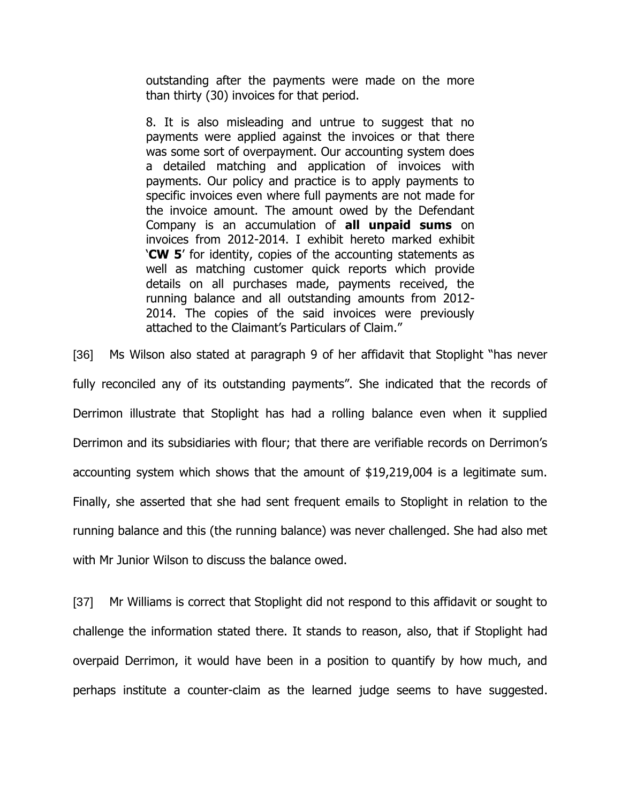outstanding after the payments were made on the more than thirty (30) invoices for that period.

8. It is also misleading and untrue to suggest that no payments were applied against the invoices or that there was some sort of overpayment. Our accounting system does a detailed matching and application of invoices with payments. Our policy and practice is to apply payments to specific invoices even where full payments are not made for the invoice amount. The amount owed by the Defendant Company is an accumulation of **all unpaid sums** on invoices from 2012-2014. I exhibit hereto marked exhibit '**CW 5**' for identity, copies of the accounting statements as well as matching customer quick reports which provide details on all purchases made, payments received, the running balance and all outstanding amounts from 2012- 2014. The copies of the said invoices were previously attached to the Claimant's Particulars of Claim."

[36] Ms Wilson also stated at paragraph 9 of her affidavit that Stoplight "has never fully reconciled any of its outstanding payments". She indicated that the records of Derrimon illustrate that Stoplight has had a rolling balance even when it supplied Derrimon and its subsidiaries with flour; that there are verifiable records on Derrimon's accounting system which shows that the amount of \$19,219,004 is a legitimate sum. Finally, she asserted that she had sent frequent emails to Stoplight in relation to the running balance and this (the running balance) was never challenged. She had also met with Mr Junior Wilson to discuss the balance owed.

[37] Mr Williams is correct that Stoplight did not respond to this affidavit or sought to challenge the information stated there. It stands to reason, also, that if Stoplight had overpaid Derrimon, it would have been in a position to quantify by how much, and perhaps institute a counter-claim as the learned judge seems to have suggested.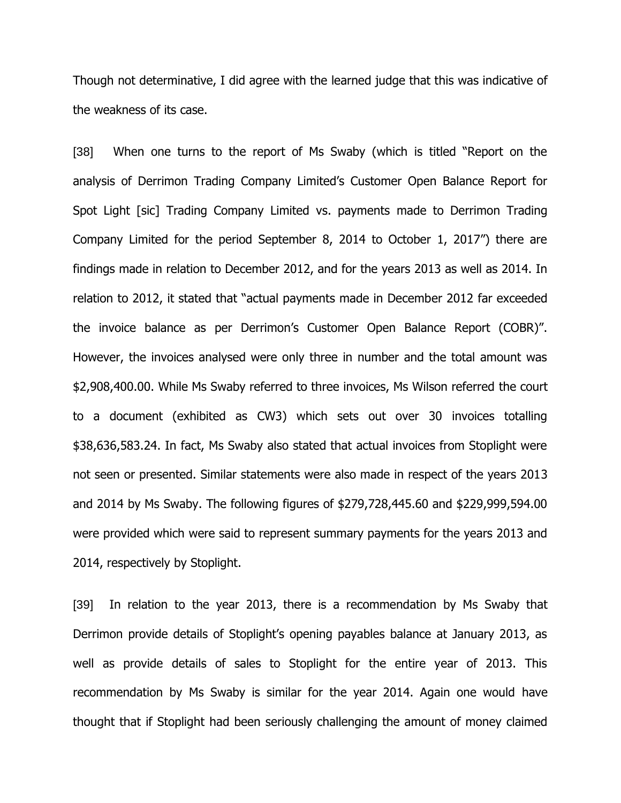Though not determinative, I did agree with the learned judge that this was indicative of the weakness of its case.

[38] When one turns to the report of Ms Swaby (which is titled "Report on the analysis of Derrimon Trading Company Limited's Customer Open Balance Report for Spot Light [sic] Trading Company Limited vs. payments made to Derrimon Trading Company Limited for the period September 8, 2014 to October 1, 2017") there are findings made in relation to December 2012, and for the years 2013 as well as 2014. In relation to 2012, it stated that "actual payments made in December 2012 far exceeded the invoice balance as per Derrimon's Customer Open Balance Report (COBR)". However, the invoices analysed were only three in number and the total amount was \$2,908,400.00. While Ms Swaby referred to three invoices, Ms Wilson referred the court to a document (exhibited as CW3) which sets out over 30 invoices totalling \$38,636,583.24. In fact, Ms Swaby also stated that actual invoices from Stoplight were not seen or presented. Similar statements were also made in respect of the years 2013 and 2014 by Ms Swaby. The following figures of \$279,728,445.60 and \$229,999,594.00 were provided which were said to represent summary payments for the years 2013 and 2014, respectively by Stoplight.

[39] In relation to the year 2013, there is a recommendation by Ms Swaby that Derrimon provide details of Stoplight's opening payables balance at January 2013, as well as provide details of sales to Stoplight for the entire year of 2013. This recommendation by Ms Swaby is similar for the year 2014. Again one would have thought that if Stoplight had been seriously challenging the amount of money claimed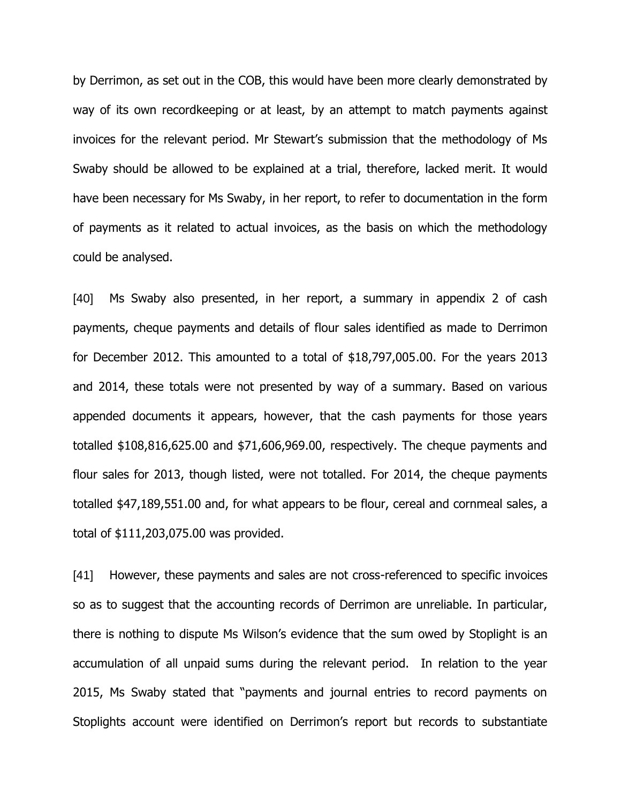by Derrimon, as set out in the COB, this would have been more clearly demonstrated by way of its own recordkeeping or at least, by an attempt to match payments against invoices for the relevant period. Mr Stewart's submission that the methodology of Ms Swaby should be allowed to be explained at a trial, therefore, lacked merit. It would have been necessary for Ms Swaby, in her report, to refer to documentation in the form of payments as it related to actual invoices, as the basis on which the methodology could be analysed.

[40] Ms Swaby also presented, in her report, a summary in appendix 2 of cash payments, cheque payments and details of flour sales identified as made to Derrimon for December 2012. This amounted to a total of \$18,797,005.00. For the years 2013 and 2014, these totals were not presented by way of a summary. Based on various appended documents it appears, however, that the cash payments for those years totalled \$108,816,625.00 and \$71,606,969.00, respectively. The cheque payments and flour sales for 2013, though listed, were not totalled. For 2014, the cheque payments totalled \$47,189,551.00 and, for what appears to be flour, cereal and cornmeal sales, a total of \$111,203,075.00 was provided.

[41] However, these payments and sales are not cross-referenced to specific invoices so as to suggest that the accounting records of Derrimon are unreliable. In particular, there is nothing to dispute Ms Wilson's evidence that the sum owed by Stoplight is an accumulation of all unpaid sums during the relevant period. In relation to the year 2015, Ms Swaby stated that "payments and journal entries to record payments on Stoplights account were identified on Derrimon's report but records to substantiate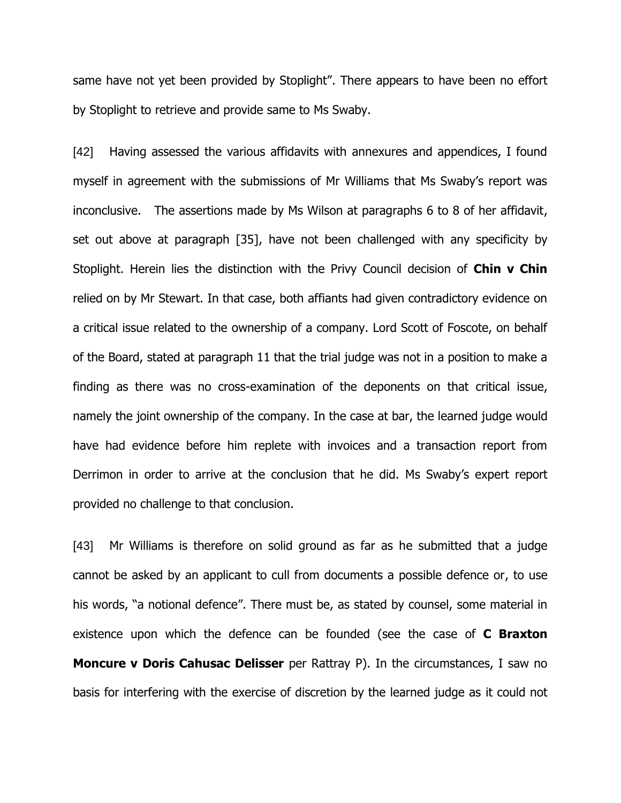same have not yet been provided by Stoplight". There appears to have been no effort by Stoplight to retrieve and provide same to Ms Swaby.

[42] Having assessed the various affidavits with annexures and appendices, I found myself in agreement with the submissions of Mr Williams that Ms Swaby's report was inconclusive. The assertions made by Ms Wilson at paragraphs 6 to 8 of her affidavit, set out above at paragraph [35], have not been challenged with any specificity by Stoplight. Herein lies the distinction with the Privy Council decision of **Chin v Chin** relied on by Mr Stewart. In that case, both affiants had given contradictory evidence on a critical issue related to the ownership of a company. Lord Scott of Foscote, on behalf of the Board, stated at paragraph 11 that the trial judge was not in a position to make a finding as there was no cross-examination of the deponents on that critical issue, namely the joint ownership of the company. In the case at bar, the learned judge would have had evidence before him replete with invoices and a transaction report from Derrimon in order to arrive at the conclusion that he did. Ms Swaby's expert report provided no challenge to that conclusion.

[43] Mr Williams is therefore on solid ground as far as he submitted that a judge cannot be asked by an applicant to cull from documents a possible defence or, to use his words, "a notional defence". There must be, as stated by counsel, some material in existence upon which the defence can be founded (see the case of **C Braxton Moncure v Doris Cahusac Delisser** per Rattray P). In the circumstances, I saw no basis for interfering with the exercise of discretion by the learned judge as it could not